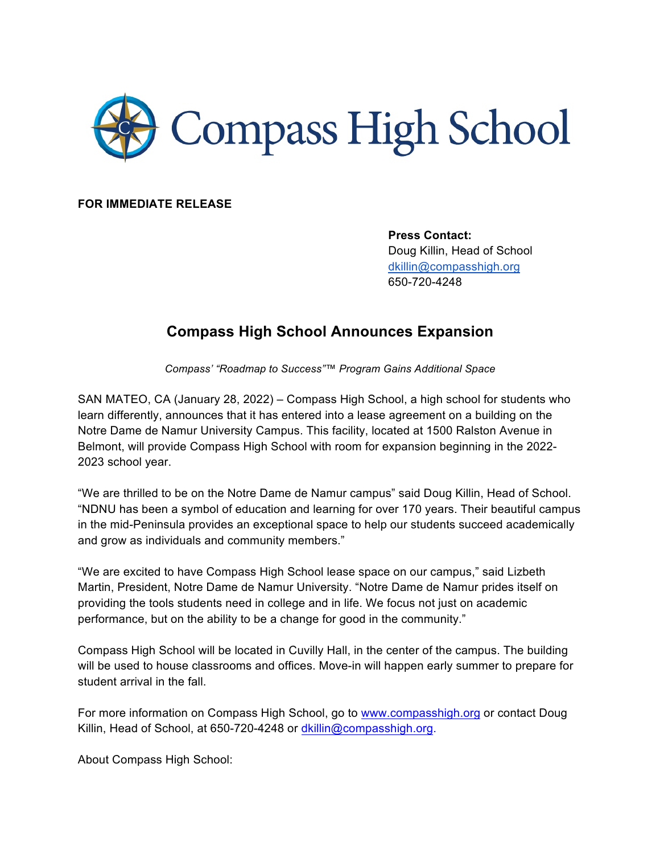

**FOR IMMEDIATE RELEASE**

**Press Contact:** Doug Killin, Head of School dkillin@compasshigh.org 650-720-4248

## **Compass High School Announces Expansion**

*Compass' "Roadmap to Success"™ Program Gains Additional Space*

SAN MATEO, CA (January 28, 2022) – Compass High School, a high school for students who learn differently, announces that it has entered into a lease agreement on a building on the Notre Dame de Namur University Campus. This facility, located at 1500 Ralston Avenue in Belmont, will provide Compass High School with room for expansion beginning in the 2022- 2023 school year.

"We are thrilled to be on the Notre Dame de Namur campus" said Doug Killin, Head of School. "NDNU has been a symbol of education and learning for over 170 years. Their beautiful campus in the mid-Peninsula provides an exceptional space to help our students succeed academically and grow as individuals and community members."

"We are excited to have Compass High School lease space on our campus," said Lizbeth Martin, President, Notre Dame de Namur University. "Notre Dame de Namur prides itself on providing the tools students need in college and in life. We focus not just on academic performance, but on the ability to be a change for good in the community."

Compass High School will be located in Cuvilly Hall, in the center of the campus. The building will be used to house classrooms and offices. Move-in will happen early summer to prepare for student arrival in the fall.

For more information on Compass High School, go to www.compasshigh.org or contact Doug Killin, Head of School, at 650-720-4248 or dkillin@compasshigh.org.

About Compass High School: